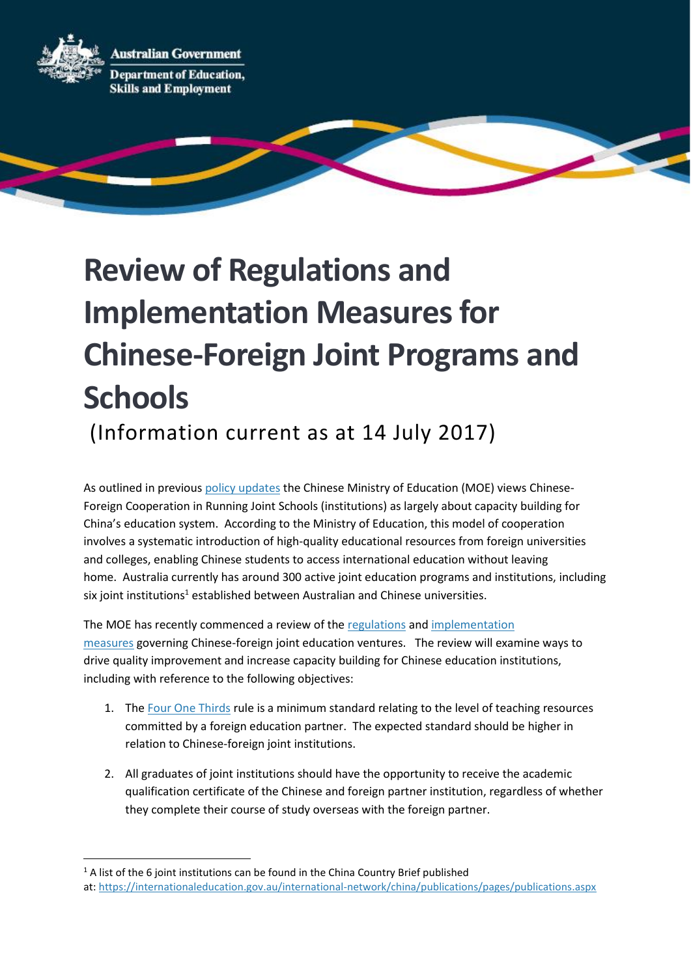**Australian Government** 



**Department of Education, Skills and Employment** 

## **Review of Regulations and Implementation Measures for Chinese-Foreign Joint Programs and Schools**

(Information current as at 14 July 2017)

As outlined in previous [policy updates](https://internationaleducation.gov.au/international-network/china/PolicyUpdates-China/Pages/Sino-Australian-Forum-on-Transnational-Education-and-Student-Mobility.aspx) the Chinese Ministry of Education (MOE) views Chinese-Foreign Cooperation in Running Joint Schools (institutions) as largely about capacity building for China's education system. According to the Ministry of Education, this model of cooperation involves a systematic introduction of high-quality educational resources from foreign universities and colleges, enabling Chinese students to access international education without leaving home. Australia currently has around 300 active joint education programs and institutions, including six joint institutions<sup>1</sup> established between Australian and Chinese universities.

The MOE has recently commenced a review of the [regulations](http://www.crs.jsj.edu.cn/index.php/default/news/index/3) and [implementation](http://english.jl.gov.cn/Living/Education/Cooperation/201103/t20110331_970743.html)  [measures](http://english.jl.gov.cn/Living/Education/Cooperation/201103/t20110331_970743.html) governing Chinese-foreign joint education ventures. The review will examine ways to drive quality improvement and increase capacity building for Chinese education institutions, including with reference to the following objectives:

- 1. The [Four One Thirds](https://internationaleducation.gov.au/international-network/china/PolicyUpdates-China/Pages/CHINA%E2%80%93Approvals-processes-for-Sino-Foreign-Joint-institutions-and-Joint-programs.aspx) rule is a minimum standard relating to the level of teaching resources committed by a foreign education partner. The expected standard should be higher in relation to Chinese-foreign joint institutions.
- 2. All graduates of joint institutions should have the opportunity to receive the academic qualification certificate of the Chinese and foreign partner institution, regardless of whether they complete their course of study overseas with the foreign partner.

 $1$  A list of the 6 joint institutions can be found in the China Country Brief published

at: <https://internationaleducation.gov.au/international-network/china/publications/pages/publications.aspx>